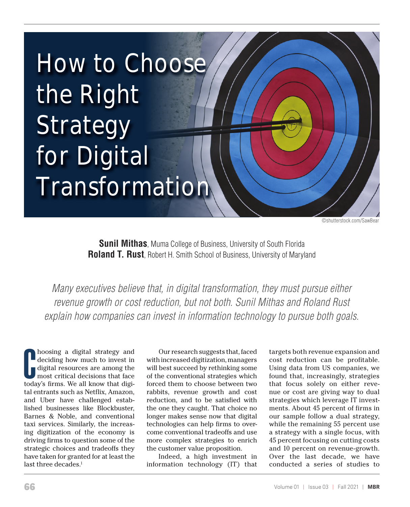

©shutterstock.com/SawBear

**Sunil Mithas**, Muma College of Business, University of South Florida **Roland T. Rust**, Robert H. Smith School of Business, University of Maryland

*Many executives believe that, in digital transformation, they must pursue either revenue growth or cost reduction, but not both. Sunil Mithas and Roland Rust explain how companies can invest in information technology to pursue both goals.* 

**C** hoosing a digital strategy and deciding how much to invest in digital resources are among the most critical decisions that face today's firms. We all know that digihoosing a digital strategy and deciding how much to invest in digital resources are among the most critical decisions that face tal entrants such as Netflix, Amazon, and Uber have challenged established businesses like Blockbuster, Barnes & Noble, and conventional taxi services. Similarly, the increasing digitization of the economy is driving firms to question some of the strategic choices and tradeoffs they have taken for granted for at least the last three decades.<sup>1</sup>

Our research suggests that, faced with increased digitization, managers will best succeed by rethinking some of the conventional strategies which forced them to choose between two rabbits, revenue growth and cost reduction, and to be satisfied with the one they caught. That choice no longer makes sense now that digital technologies can help firms to overcome conventional tradeoffs and use more complex strategies to enrich the customer value proposition.

Indeed, a high investment in information technology (IT) that targets both revenue expansion and cost reduction can be profitable. Using data from US companies, we found that, increasingly, strategies that focus solely on either revenue or cost are giving way to dual strategies which leverage IT investments. About 45 percent of firms in our sample follow a dual strategy, while the remaining 55 percent use a strategy with a single focus, with 45 percent focusing on cutting costs and 10 percent on revenue-growth. Over the last decade, we have conducted a series of studies to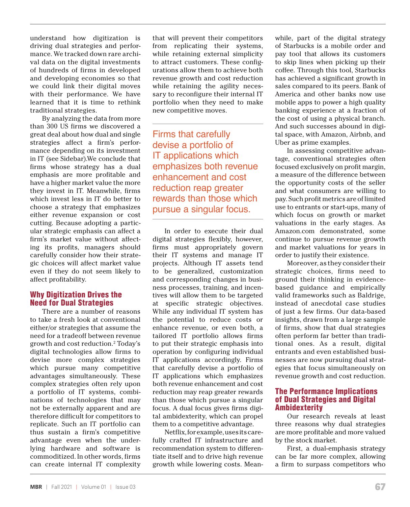understand how digitization is driving dual strategies and performance. We tracked down rare archival data on the digital investments of hundreds of firms in developed and developing economies so that we could link their digital moves with their performance. We have learned that it is time to rethink traditional strategies.

By analyzing the data from more than 300 US firms we discovered a great deal about how dual and single strategies affect a firm's performance depending on its investment in IT (see Sidebar).We conclude that firms whose strategy has a dual emphasis are more profitable and have a higher market value the more they invest in IT. Meanwhile, firms which invest less in IT do better to choose a strategy that emphasizes either revenue expansion or cost cutting. Because adopting a particular strategic emphasis can affect a firm's market value without affecting its profits, managers should carefully consider how their strategic choices will affect market value even if they do not seem likely to affect profitability.

# Why Digitization Drives the Need for Dual Strategies

There are a number of reasons to take a fresh look at conventional either/or strategies that assume the need for a tradeoff between revenue growth and cost reduction.2 Today's digital technologies allow firms to devise more complex strategies which pursue many competitive advantages simultaneously. These complex strategies often rely upon a portfolio of IT systems, combinations of technologies that may not be externally apparent and are therefore difficult for competitors to replicate. Such an IT portfolio can thus sustain a firm's competitive advantage even when the underlying hardware and software is commoditized. In other words, firms can create internal IT complexity

that will prevent their competitors from replicating their systems, while retaining external simplicity to attract customers. These configurations allow them to achieve both revenue growth and cost reduction while retaining the agility necessary to reconfigure their internal IT portfolio when they need to make new competitive moves.

Firms that carefully devise a portfolio of IT applications which emphasizes both revenue enhancement and cost reduction reap greater rewards than those which pursue a singular focus.

In order to execute their dual digital strategies flexibly, however, firms must appropriately govern their IT systems and manage IT projects. Although IT assets tend to be generalized, customization and corresponding changes in business processes, training, and incentives will allow them to be targeted at specific strategic objectives. While any individual IT system has the potential to reduce costs or enhance revenue, or even both, a tailored IT portfolio allows firms to put their strategic emphasis into operation by configuring individual IT applications accordingly. Firms that carefully devise a portfolio of IT applications which emphasizes both revenue enhancement and cost reduction may reap greater rewards than those which pursue a singular focus. A dual focus gives firms digital ambidexterity, which can propel them to a competitive advantage.

Netflix, for example, uses its carefully crafted IT infrastructure and recommendation system to differentiate itself and to drive high revenue growth while lowering costs. Meanwhile, part of the digital strategy of Starbucks is a mobile order and pay tool that allows its customers to skip lines when picking up their coffee. Through this tool, Starbucks has achieved a significant growth in sales compared to its peers. Bank of America and other banks now use mobile apps to power a high quality banking experience at a fraction of the cost of using a physical branch. And such successes abound in digital space, with Amazon, Airbnb, and Uber as prime examples.

In assessing competitive advantage, conventional strategies often focused exclusively on profit margin, a measure of the difference between the opportunity costs of the seller and what consumers are willing to pay. Such profit metrics are of limited use to entrants or start-ups, many of which focus on growth or market valuations in the early stages. As Amazon.com demonstrated, some continue to pursue revenue growth and market valuations for years in order to justify their existence.

Moreover, as they consider their strategic choices, firms need to ground their thinking in evidencebased guidance and empirically valid frameworks such as Baldrige, instead of anecdotal case studies of just a few firms. Our data-based insights, drawn from a large sample of firms, show that dual strategies often perform far better than traditional ones. As a result, digital entrants and even established businesses are now pursuing dual strategies that focus simultaneously on revenue growth and cost reduction.

# The Performance Implications of Dual Strategies and Digital **Ambidexterity**

Our research reveals at least three reasons why dual strategies are more profitable and more valued by the stock market.

First, a dual-emphasis strategy can be far more complex, allowing a firm to surpass competitors who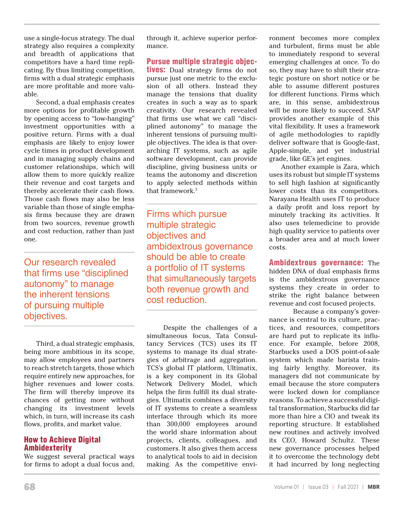use a single-focus strategy. The dual strategy also requires a complexity and breadth of applications that competitors have a hard time replicating. By thus limiting competition, firms with a dual strategic emphasis are more profitable and more valuable.

Second, a dual emphasis creates more options for profitable growth by opening access to "low-hanging" investment opportunities with a positive return. Firms with a dual emphasis are likely to enjoy lower cycle times in product development and in managing supply chains and customer relationships, which will allow them to more quickly realize their revenue and cost targets and thereby accelerate their cash flows. Those cash flows may also be less variable than those of single emphasis firms because they are drawn from two sources, revenue growth and cost reduction, rather than just one.

Our research revealed that firms use "disciplined autonomy" to manage the inherent tensions of pursuing multiple objectives.

Third, a dual strategic emphasis, being more ambitious in its scope, may allow employees and partners to reach stretch targets, those which require entirely new approaches, for higher revenues and lower costs. The firm will thereby improve its chances of getting more without changing its investment levels which, in turn, will increase its cash flows, profits, and market value.

# How to Achieve Digital Ambidexterity

We suggest several practical ways for firms to adopt a dual focus and, through it, achieve superior performance.

Pursue multiple strategic objec**tives:** Dual strategy firms do not pursue just one metric to the exclusion of all others. Instead they manage the tensions that duality creates in such a way as to spark creativity. Our research revealed that firms use what we call "disciplined autonomy" to manage the inherent tensions of pursuing multiple objectives. The idea is that overarching IT systems, such as agile software development, can provide discipline, giving business units or teams the autonomy and discretion to apply selected methods within that framework.3

Firms which pursue multiple strategic objectives and ambidextrous governance should be able to create a portfolio of IT systems that simultaneously targets both revenue growth and cost reduction.

 Despite the challenges of a simultaneous focus, Tata Consultancy Services (TCS) uses its IT systems to manage its dual strategies of arbitrage and aggregation. TCS's global IT platform, Ultimatix, is a key component in its Global Network Delivery Model, which helps the firm fulfill its dual strategies. Ultimatix combines a diversity of IT systems to create a seamless interface through which its more than 300,000 employees around the world share information about projects, clients, colleagues, and customers. It also gives them access to analytical tools to aid in decision making. As the competitive environment becomes more complex and turbulent, firms must be able to immediately respond to several emerging challenges at once. To do so, they may have to shift their strategic posture on short notice or be able to assume different postures for different functions. Firms which are, in this sense, ambidextrous will be more likely to succeed. SAP provides another example of this vital flexibility. It uses a framework of agile methodologies to rapidly deliver software that is Google-fast, Apple-simple, and yet industrial grade, like GE's jet engines.

Another example is Zara, which uses its robust but simple IT systems to sell high fashion at significantly lower costs than its competitors. Narayana Health uses IT to produce a daily profit and loss report by minutely tracking its activities. It also uses telemedicine to provide high quality service to patients over a broader area and at much lower costs.

Ambidextrous governance: The hidden DNA of dual emphasis firms is the ambidextrous governance systems they create in order to strike the right balance between revenue and cost focused projects.

Because a company's governance is central to its culture, practices, and resources, competitors are hard put to replicate its influence. For example, before 2008, Starbucks used a DOS point-of-sale system which made barista training fairly lengthy. Moreover, its managers did not communicate by email because the store computers were locked down for compliance reasons. To achieve a successful digital transformation, Starbucks did far more than hire a CIO and tweak its reporting structure. It established new routines and actively involved its CEO, Howard Schultz. These new governance processes helped it to overcome the technology debt it had incurred by long neglecting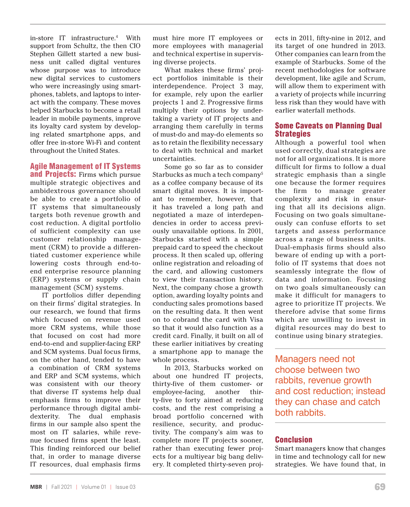in-store IT infrastructure.4 With support from Schultz, the then CIO Stephen Gillett started a new business unit called digital ventures whose purpose was to introduce new digital services to customers who were increasingly using smartphones, tablets, and laptops to interact with the company. These moves helped Starbucks to become a retail leader in mobile payments, improve its loyalty card system by developing related smartphone apps, and offer free in-store Wi-Fi and content throughout the United States.

#### Agile Management of IT Systems

**and Projects:** Firms which pursue multiple strategic objectives and ambidextrous governance should be able to create a portfolio of IT systems that simultaneously targets both revenue growth and cost reduction. A digital portfolio of sufficient complexity can use customer relationship management (CRM) to provide a differentiated customer experience while lowering costs through end-toend enterprise resource planning (ERP) systems or supply chain management (SCM) systems.

IT portfolios differ depending on their firms' digital strategies. In our research, we found that firms which focused on revenue used more CRM systems, while those that focused on cost had more end-to-end and supplier-facing ERP and SCM systems. Dual focus firms, on the other hand, tended to have a combination of CRM systems and ERP and SCM systems, which was consistent with our theory that diverse IT systems help dual emphasis firms to improve their performance through digital ambidexterity. The dual emphasis firms in our sample also spent the most on IT salaries, while revenue focused firms spent the least. This finding reinforced our belief that, in order to manage diverse IT resources, dual emphasis firms

must hire more IT employees or more employees with managerial and technical expertise in supervising diverse projects.

What makes these firms' project portfolios inimitable is their interdependence. Project 3 may, for example, rely upon the earlier projects 1 and 2. Progressive firms multiply their options by undertaking a variety of IT projects and arranging them carefully in terms of must-do and may-do elements so as to retain the flexibility necessary to deal with technical and market uncertainties.

Some go so far as to consider Starbucks as much a tech company<sup>5</sup> as a coffee company because of its smart digital moves. It is important to remember, however, that it has traveled a long path and negotiated a maze of interdependencies in order to access previously unavailable options. In 2001, Starbucks started with a simple prepaid card to speed the checkout process. It then scaled up, offering online registration and reloading of the card, and allowing customers to view their transaction history. Next, the company chose a growth option, awarding loyalty points and conducting sales promotions based on the resulting data. It then went on to cobrand the card with Visa so that it would also function as a credit card. Finally, it built on all of these earlier initiatives by creating a smartphone app to manage the whole process.

In 2013, Starbucks worked on about one hundred IT projects, thirty-five of them customer- or employee-facing, another thirty-five to forty aimed at reducing costs, and the rest comprising a broad portfolio concerned with resilience, security, and productivity. The company's aim was to complete more IT projects sooner, rather than executing fewer projects for a multiyear big bang delivery. It completed thirty-seven projects in 2011, fifty-nine in 2012, and its target of one hundred in 2013. Other companies can learn from the example of Starbucks. Some of the recent methodologies for software development, like agile and Scrum, will allow them to experiment with a variety of projects while incurring less risk than they would have with earlier waterfall methods.

# Some Caveats on Planning Dual **Strategies**

Although a powerful tool when used correctly, dual strategies are not for all organizations. It is more difficult for firms to follow a dual strategic emphasis than a single one because the former requires the firm to manage greater complexity and risk in ensuring that all its decisions align. Focusing on two goals simultaneously can confuse efforts to set targets and assess performance across a range of business units. Dual-emphasis firms should also beware of ending up with a portfolio of IT systems that does not seamlessly integrate the flow of data and information. Focusing on two goals simultaneously can make it difficult for managers to agree to prioritize IT projects. We therefore advise that some firms which are unwilling to invest in digital resources may do best to continue using binary strategies.

Managers need not choose between two rabbits, revenue growth and cost reduction; instead they can chase and catch both rabbits.

# Conclusion

Smart managers know that changes in time and technology call for new strategies. We have found that, in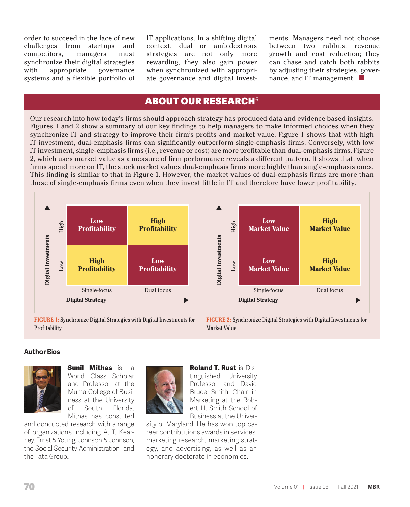order to succeed in the face of new challenges from startups and competitors, managers must synchronize their digital strategies with appropriate governance systems and a flexible portfolio of IT applications. In a shifting digital context, dual or ambidextrous strategies are not only more rewarding, they also gain power when synchronized with appropriate governance and digital investments. Managers need not choose between two rabbits, revenue growth and cost reduction; they can chase and catch both rabbits by adjusting their strategies, governance, and IT management.

# **ABOUT OUR RESEARCH<sup>6</sup>**

Our research into how today's firms should approach strategy has produced data and evidence based insights. Figures 1 and 2 show a summary of our key findings to help managers to make informed choices when they synchronize IT and strategy to improve their firm's profits and market value. Figure 1 shows that with high IT investment, dual-emphasis firms can significantly outperform single-emphasis firms. Conversely, with low IT investment, single-emphasis firms (i.e., revenue or cost) are more profitable than dual-emphasis firms. Figure 2, which uses market value as a measure of firm performance reveals a different pattern. It shows that, when firms spend more on IT, the stock market values dual-emphasis firms more highly than single-emphasis ones. This finding is similar to that in Figure 1. However, the market values of dual-emphasis firms are more than those of single-emphasis firms even when they invest little in IT and therefore have lower profitability.





**FIGURE 1:** Synchronize Digital Strategies with Digital Investments for Profitability

**FIGURE 2:** Synchronize Digital Strategies with Digital Investments for Market Value

#### **Author Bios**



**Sunil Mithas** is a World Class Scholar and Professor at the Muma College of Business at the University of South Florida. Mithas has consulted

and conducted research with a range of organizations including A. T. Kearney, Ernst & Young, Johnson & Johnson, the Social Security Administration, and the Tata Group.



**Roland T. Rust** is Distinguished University Professor and David Bruce Smith Chair in Marketing at the Robert H. Smith School of Business at the Univer-

sity of Maryland. He has won top career contributions awards in services, marketing research, marketing strategy, and advertising, as well as an honorary doctorate in economics.